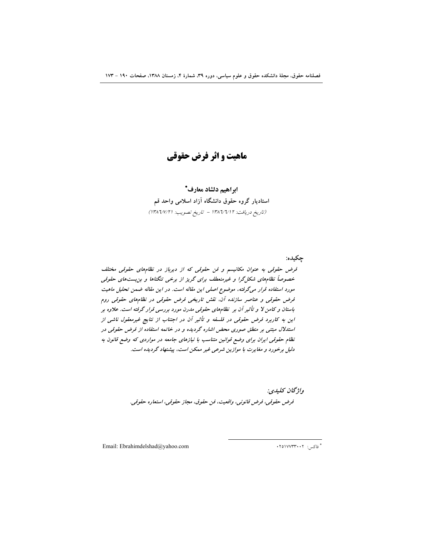فصلنامه حقوق، مجلة دانشکده حقوق و علوم سیاسی، دوره ۳۹، شمارهٔ ۴، زمستان ۱۳۸۸، صفحات ۱۹۰ – ۱۷۳

ماهیت و اثر فرض حقوقی

ابراهيم دلشاد معارف\* استادیار گروه حقوق دانشگاه آزاد اسلامی واحد قم (تاريخ دريافت: ١٣٨٦/٧/١٢ - تاريخ تصويب: ١٣٨٦/٧/٢١)

جکيده: قرض حقوقی به عنوان مکانیسم و فن حقوقی که از دیرباز در نظامهای حقوقی مختلف خصوصاً نظامهای شکل گرا و غیرمنعطف برای گریز از برخی تنگناها و بن بستهای حقوقی مورد استفاده قرار می گرفته، موضوع اصلی این مقاله است. در این مقاله ضمن تحلیل ماهیت قرض حقوقی و عناصر سازنده آن، نقش تاریخی فرض حقوقی در نظامهای حقوقی روم باستان و کامن لا و تأثیر آن بر نظامهای حقوقی مدرن مورد بررسی قرار گرفته است. علاوه بر این به کاربرد فرض حقوقی در فلسفه و تأثیر آن در اجتناب از نتایج غیرمعقول ناشی از استدلال مبتنی بر منطق صوری محض اشاره گردیده و در خاتمه استفاده از فرض حقوقی در نظام حقوقی ایران برای وضع قوانین متناسب با نیازهای جامعه در مواردی که وضع قانون به دلیل برخورد و مغایرت با موازین شرعی غیر ممکن است، پیشنهاد گردیده است.

> واژگان كليدي: فرض حقوقي، فرض قانوني، واقعيت، فن حقوق، مجاز حقوقي، استعاره حقوقي.

Email: Ebrahimdelshad@yahoo.com

\* فاکس: ۲۰۱۷۷۳۳۰۰۲.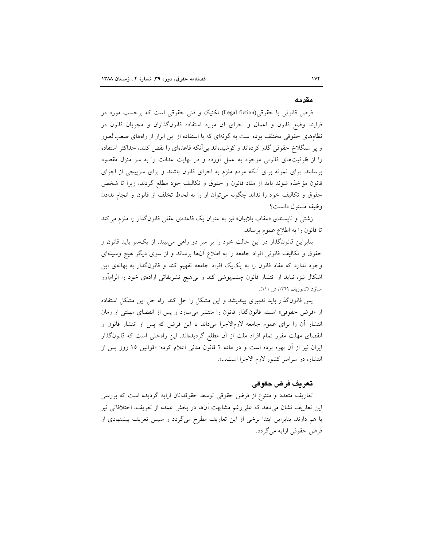#### مقدمه

فرض قانونی یا حقوقی(Legal fiction) تکنیک و فنی حقوقی است که برحسب مورد در فرایند وضع قانون و اعمال و اجرای آن مورد استفاده قانونگذاران و مجریان قانون در نظامهای حقوقی مختلف بوده است به گونهای که با استفاده از این ابزار از راههای صعبالعبور و پر سنگلاخ حقوقی گذر کردهاند و کوشیدهاند بی آنکه قاعدهای را نقض کنند، حداکثر استفاده را از ظرفیتهای قانونی موجود به عمل آورده و در نهایت عدالت را به سر منزل مقصود برسانند. برای نمونه برای أنکه مردم ملزم به اجرای قانون باشند و برای سرپیچی از اجرای قانون مؤاخذه شوند بايد از مفاد قانون و حقوق و تكاليف خود مطلع گردند، زيرا تا شخص حقوق و تکالیف خود را نداند چگونه میٍتوان او را به لحاظ تخلف از قانون و انجام ندادن وظيفه مسئول دانست؟

زشتی و ناپسندی «عقاب بلابیان» نیز به عنوان یک قاعدهی عقلی قانونگذار را ملزم می کند تا قانون را به اطلاع عموم برساند.

بنابراین قانونگذار در این حالت خود را بر سر دو راهی میبیند، از یکسو باید قانون و حقوق و تکالیف قانونی افراد جامعه را به اطلاع اّنها برساند و از سوی دیگر هیچ وسیلهای وجود ندارد که مفاد قانون را به یک یک افراد جامعه تفهیم کند و قانونگذار به بهانهی این اشکال نیز، نباید از انتشار قانون چشمپوشی کند و برهیچ تشریفاتی ارادهی خود را الزامآور سازد (کاتوزیان، ١٣٦٩، ش ١١١).

پس قانونگذار باید تدبیری بیندیشد و این مشکل را حل کند. راه حل این مشکل استفاده از «فرض حقوقی» است. قانونگذار قانون را منتشر میسازد و پس از انقضای مهلتی از زمان انتشار أن را برای عموم جامعه لازم|لاجرا میداند با این فرض که پس از انتشار قانون و انقضای مهلت مقرر تمام افراد ملت از آن مطلع گردیدهاند. این راهحلی است که قانونگذار ایران نیز از آن بهره برده است و در ماده ۲ قانون مدنی اعلام کرده: «قوانین ۱۵ روز پس از انتشار، در سراسر كشور لازم الاجرا است...».

### تعريف فرض حقوقي

تعاریف متعدد و متنوع از فرض حقوقی توسط حقوقدانان ارایه گردیده است که بررسی این تعاریف نشان میدهد که علیرغم مشابهت آنها در بخش عمده از تعریف، اختلافاتی نیز با هم دارند. بنابراین ابتدا برخی از این تعاریف مطرح میگردد و سپس تعریف پیشنهادی از فرض حقوقی ارایه میگردد.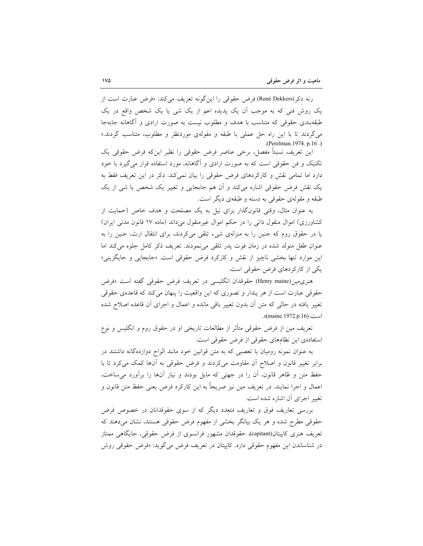رنه دكر (René Dekkers) فرض حقوقي را اين گونه تعريف مي كند: «فرض عبارت است از یک روش فنی که به موجب أن یک پدیده اعم از یک شی یا یک شخص واقع در یک طبقهبندی حقوقی که متناسب با هدف و مطلوب نیست به صورت ارادی و آگاهانه جابهجا میگردند تا با این راه حل عملی با طبقه و مقولهی موردنظر و مطلوب، متناسب گردند.» .(Perelman. 1974. p.16.)

این تعریف نسبتاً مفصل، برخی عناصر فرض حقوقی را نظیر اینکه فرض حقوقی یک تکنیک و فن حقوقی است که به صورت ارادی و آگاهانه، مورد استفاده قرار می گیرد با خود دارد اما تمامی نقش و کارکردهای فرض حقوقی را بیان نمی کند. دکر در این تعریف فقط به یک نقش فرض حقوقی اشارہ می کند و اُن ہم جابجایی و تغییر یک شخص یا شی از یک طبقه و مقولهی حقوقی به دسته و طبقهی دیگر است.

به عنوان مثال، وقتى قانونگذار براى نيل به يک مصلحت و هدف خاص (حمايت از کشاورزی) اموال منقول ذاتی را در حکم اموال غیرمنقول میداند (ماده ۱۷ قانون مدنی ایران) یا در حقوق روم که جنین را به منزلهی شیء تلقی میکردند، برای انتقال ارث، جنین را به عنوان طفل متولد شده در زمان فوت پدر تلقی می نمودند. تعریف ذکر کامل جلوه می کند اما این موارد تنها بخشی ناچیز از نقش و کارکرد فرض حقوقی است. «جابجایی و جایگزینی» یکی از کارکردهای فرض حقوقی است.

هنري،مين(Henry maine) حقوقدان انگليسي در تعريف فرض حقوقي گفته است «فرض حقوقی عبارت است از هر پندار و تصوری که این واقعیت را پنهان می کند که قاعدهی حقوقی تغییر یافته در حالی که متن اَن بدون تغییر باقی مانده و اعمال و اجرای اَن قاعده اصلاح شده است.(maine.1972.p.16).

تعریف مین از فرض حقوقی متأثر از مطالعات تاریخی او در حقوق روم و انگلیس و نوع استفادهی این نظامهای حقوقی از فرض حقوقی است.

به عنوان نمونه رومیان با تعصبی که به متن قوانین خود مانند الواح دوازدهگانه داشتند در برابر تغییر قانون و اصلاح اّن مقاومت میکردند و فرض حقوقی به اّنها کمک میکرد تا با حفظ متن و ظاهر قانون، أن را در جهتى كه مايل بودند و نياز أنها را برأورد مى ساخت، اعمال و اجرا نمایند. در تعریف مین نیز صریحاً به این کارکرد فرض یعنی حفظ متن قانون و تغییر اجرای آن اشاره شده است.

بررسی تعاریف فوق و تعاریف متعدد دیگر که از سوی حقوقدانان در خصوص فرض حقوقی مطرح شده و هر یک بیانگر بخشی از مفهوم فرض حقوقی هستند، نشان میدهند که تعریف هنری کاپیتان(capitant)، حقوقدان مشهور فرانسوی از فرض حقوقی، جایگاهی ممتاز در شناساندن این مفهوم حقوقی دارد. کاپیتان در تعریف فرض می گوید: «فرض حقوقی روش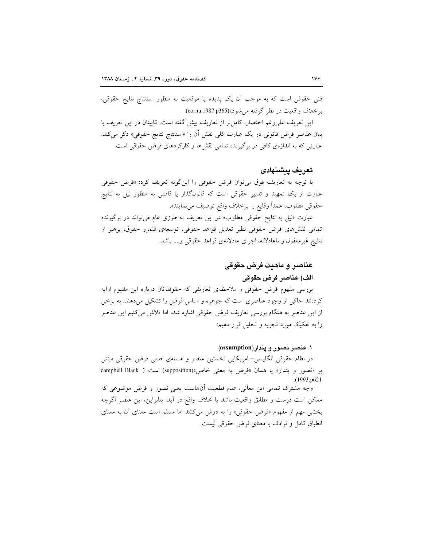فنی حقوقی است که به موجب آن یک پدیده یا موقعیت به منظور استنتاج نتایج حقوقی، برخلاف واقعيت در نظر گرفته مي شود»(cornu.1987.p365).

این تعریف علی رغم اختصار، کامل تر از تعاریف پیش گفته است. کاپیتان در این تعریف با بیان عناصر فرض قانونی در یک عبارت کلی نقش آن را «استنتاج نتایج حقوقی» ذکر می کند. عبارتی که به اندازهی کافی در برگیرنده تمامی نقشها و کارکردهای فرض حقوقی است.

### تعريف ييشنهادى

با توجه به تعاریف فوق میتوان فرض حقوقی را اینگونه تعریف کرد: «فرض حقوقی عبارت از یک تمهید و تدبیر حقوقی است که قانونگذار یا قاضی به منظور نیل به نتایج حقوقي مطلوب، عمداً وقايع را برخلاف واقع توصيف ميiمايند».

عبارت «نیل به نتایج حقوقی مطلوب» در این تعریف به طرزی عام میتواند در برگیرنده تمامی نقشهای فرض حقوقی نظیر تعدیل قواعد حقوقی، توسعهی قلمرو حقوق، پرهیز از نتايج غيرمعقول و ناعادلانه، اجراي عادلانهي قواعد حقوقي و.... باشد.

# عناصر و ماهيت فرض حقوقي الف) عناصر فرض حقوقى

بررسی مفهوم فرض حقوقی و ملاحظهی تعاریفی که حقوقدانان درباره این مفهوم ارایه کردهاند حاکی از وجود عناصری است که جوهره و اساس فرض را تشکیل میدهند. به برخی از این عناصر به هنگام بررسی تعاریف فرض حقوقی اشاره شد، اما تلاش میکنیم این عناصر را به تفکیک مورد تجزیه و تحلیل قرار دهیم:

#### ۱. عنصر تصور و یندار(assumption)

در نظام حقوقی انگلیسی- امریکایی نخستین عنصر و هستهی اصلی فرض حقوقی مبتنی بر «تصور و پندار» يا همان «فرض به معنى خاص»(supposition) است ( .campbell Black  $(1993. p621)$ 

وجه مشترک تمامی این معانی، عدم قطعیت آنهاست یعنی تصور و فرض موضوعی که ممكن است درست و مطابق واقعيت باشد يا خلاف واقع در أيد. بنابراين، اين عنصر اگرچه بخشی مهم از مفهوم «فرض حقوقی» را به دوش میکشد اما مسلم است معنای آن به معنای انطباق كامل و ترادف با معناى فرض حقوقى نيست.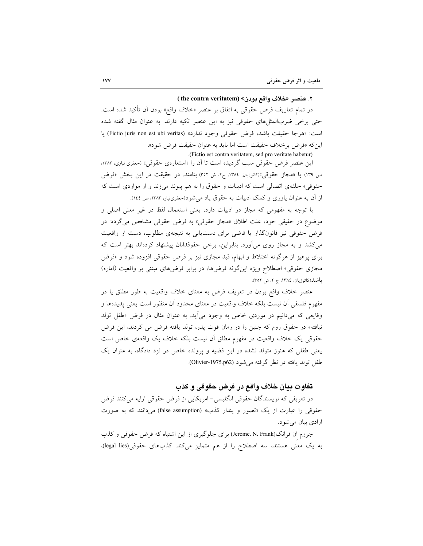#### ٢. عنصر «خلاف واقع بودن» (the contra veritatem )

در تمام تعاريف فرض حقوقي به اتفاق بر عنصر «خلاف واقع» بودن اَن تأكيد شده است. حتی برخی ضربالمثلهای حقوقی نیز به این عنصر تکیه دارند. به عنوان مثال گفته شده است: «هرجا حقيقت باشد، فرض حقوقي وجود ندارد» (Fictio juris non est ubi veritas) يا این که «فرض برخلاف حقیقت است اما باید به عنوان حقیقت فرض شود».

.(Fictio est contra veritatem, sed pro veritate habetur)

این عنصر فرض حقوقی سبب گردیده است تا آن را «استعارهی حقوقی» (جعفری تباری، ۱۳۸۳، ص ١٣٩) يا «مجاز حقوقي»(كاتوزيان، ١٣٨٤، ج٢، ش ٣٥٢) بنامند. در حقيقت در اين بخش «فرض حقوقي» حلقهي اتصالي است كه ادبيات و حقوق را به هم پيوند مي زند و از مواردي است كه از آن به عنوان یاوری و کمک ادبیات به حقوق یاد می شود(جعفریتبار، ۱۳۸۳، ص ١٤٤).

با توجه به مفهومی که مجاز در ادبیات دارد، یعنی استعمال لفظ در غیر معنی اصلی و موضوع در حقیقی خود، علت اطلاق «مجاز حقوقی» به فرض حقوقی مشخص میگردد: در فرض حقوقی نیز قانونگذار یا قاضی برای دست،یابی به نتیجهی مطلوب، دست از واقعیت میکشد و به مجاز روی میآورد. بنابراین، برخی حقوقدانان پیشنهاد کردهاند بهتر است که برای پرهیز از هرگونه اختلاط و ابهام، قید مجازی نیز بر فرض حقوقی افزوده شود و «فرض مجازی حقوقی» اصطلاح ویژه اینگونه فرضها، در برابر فرضهای مبتنی بر واقعیت (اماره) باشد(کاتوزیان، ١٣٨٤، ج ٢، ش ٣٥٢).

عنصر خلاف واقع بودن در تعریف فرض به معنای خلاف واقعیت به طور مطلق یا در مفهوم فلسفی أن نیست بلکه خلاف واقعیت در معنای محدود أن منظور است یعنی یدیدها و وقایعی که میدانیم در موردی خاص به وجود می[ید. به عنوان مثال در فرض «طفل تولد نیافته» در حقوق روم که جنین را در زمان فوت یدر، تولد یافته فرض می کردند، این فرض حقوقی یک خلاف واقعیت در مفهوم مطلق اَن نیست بلکه خلاف یک واقعهی خاص است یعنی طفلی که هنوز متولد نشده در این قضیه و پرونده خاص در نزد دادگاه، به عنوان یک طفل تولد يافته در نظر گرفته مي شود (Olivier-1975.p62).

### تفاوت بيان خلاف واقع در فرض حقوقي و كذب

در تعریفی که نویسندگان حقوقی انگلیسی- امریکایی از فرض حقوقی ارایه میکنند فرض حقوقی را عبارت از یک «تصور و یندار کذب» (false assumption) می دانند که به صورت ارادي بيان مي شود.

جروم ان فرانک(Jerome. N. Frank) برای جلوگیری از این اشتباه که فرض حقوقی و کذب به یک معنی هستند، سه اصطلاح را از هم متمایز میکند: کذبهای حقوقی(legal lies)،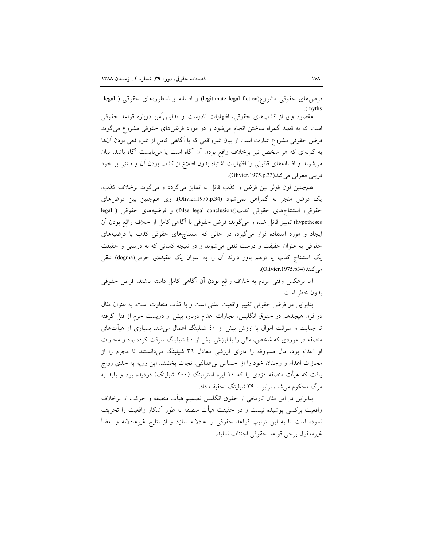فرضهای حقوقی مشروع(legitimate legal fiction) و افسانه و اسطورههای حقوقی ( legal *(myths)* 

مقصود وی از کذبهای حقوقی، اظهارات نادرست و تدلیس آمیز درباره قواعد حقوقی است که به قصد گمراه ساختن انجام می شود و در مورد فرضهای حقوقی مشروع میگوید فرض حقوقی مشروع عبارت است از بیان غیرواقعی که با آگاهی کامل از غیرواقعی بودن آنها به گونهای که هر شخص نیز برخلاف واقع بودن آن آگاه است یا میبایست آگاه باشد، بیان می شوند و افسانههای قانونی را اظهارات اشتباه بدون اطلاع از کذب بودن آن و مبتنی بر خود فريبي معرفي مي كند(Olivier.1975.p.33).

همچنین لون فولر بین فرض و کذب قائل به تمایز میگردد و میگوید برخلاف کذب، یک فرض منجر به گمراهی نمیشود (Olivier.1975.p.34). وی همچنین بین فرضهای حقوقي، استنتاجهاي حقوقي كذب(false legal conclusions) و فرضيههاي حقوقي ( legal hypotheses) تمییز قائل شده و میگوید: فرض حقوقی با أگاهی کامل از خلاف واقع بودن أن ایجاد و مورد استفاده قرار میگیرد، در حالی که استنتاجهای حقوقی کذب یا فرضیههای حقوقی به عنوان حقیقت و درست تلقی می شوند و در نتیجه کسانی که به درستی و حقیقت یک استنتاج کذب یا توهم باور دارند آن را به عنوان یک عقیدهی جزمی(dogma) تلقی می کنند (Olivier.1975.p34).

اما برعکس وقتی مردم به خلاف واقع بودن آن آگاهی کامل داشته باشند، فرض حقوقی بدون خطر است.

بنابراین در فرض حقوقی تغییر واقعیت علنی است و با کذب متفاوت است. به عنوان مثال در قرن هیجدهم در حقوق انگلیس، مجازات اعدام درباره بیش از دویست جرم از قتل گرفته تا جنایت و سرقت اموال با ارزش بیش از ٤٠ شیلینگ اعمال میشد. بسیاری از هیأتهای منصفه در موردی که شخص، مالی را با ارزش بیش از ٤٠ شیلینگ سرقت کرده بود و مجازات او اعدام بود، مال مسروقه را دارای ارزشی معادل ۳۹ شیلینگ میدانستند تا مجرم را از مجازات اعدام و وجدان خود را از احساس بی عدالتی، نجات بخشند. این رویه به حدی رواج یافت که هیأت منصفه دزدی را که ۱۰ لیره استرلینگ (۲۰۰ شیلینگ) دزدیده بود و باید به مرگ محکوم می شد، برابر با ۳۹ شیلینگ تخفیف داد.

بنابراین در این مثال تاریخی از حقوق انگلیس تصمیم هیأت منصفه و حرکت او برخلاف واقعیت برکسی پوشیده نیست و در حقیقت هیأت منصفه به طور آشکار واقعیت را تحریف نموده است تا به این ترتیب قواعد حقوقی را عادلانه سازد و از نتایج غیرعادلانه و بعضاً غير معقول برخي قواعد حقوقي اجتناب نمايد.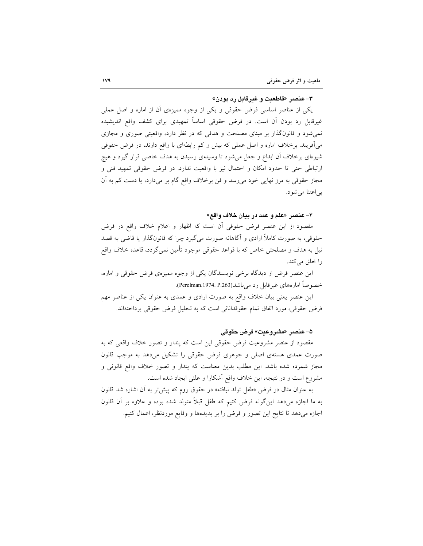### ۳- عنصر «قاطعیت و غیرقابل رد بودن»

یکی از عناصر اساسی فرض حقوقی و یکی از وجوه ممیزهی آن از اماره و اصل عملی غیرقابل رد بودن اَن است. در فرض حقوقی اساساً تمهیدی برای کشف واقع اندیشیده نمی شود و قانونگذار بر مبنای مصلحت و هدفی که در نظر دارد، واقعیتی صوری و مجازی می آفریند. برخلاف اماره و اصل عملی که بیش و کم رابطهای با واقع دارند، در فرض حقوقی شیوهای برخلاف اّن ابداع و جعل میشود تا وسیلهی رسیدن به هدف خاصی قرار گیرد و هیچ ارتباطی حتی تا حدود امکان و احتمال نیز با واقعیت ندارد. در فرض حقوقی تمهید فنی و مجاز حقوقی به مرز نهایی خود می رسد و فن برخلاف واقع گام بر میدارد، یا دست کم به آن بي اعتنا مي شود.

### ۴- عنصر «علم و عمد در بيان خلاف واقع»

مقصود از این عنصر فرض حقوقی اَن است که اظهار و اعلام خلاف واقع در فرض حقوقی، به صورت کاملاً ارادی و آگاهانه صورت میگیرد چرا که قانونگذار یا قاضی به قصد نیل به هدف و مصلحتی خاص که با قواعد حقوقی موجود تأمین نمیگردد، قاعده خلاف واقع را خلق می کند.

این عنصر فرض از دیدگاه برخی نویسندگان یکی از وجوه ممیزهی فرض حقوقی و اماره، خصوصاً امارههاي غيرقابل رد مي باشد(Perelman.1974. P.263).

این عنصر یعنی بیان خلاف واقع به صورت ارادی و عمدی به عنوان یکی از عناصر مهم فرض حقوقی، مورد اتفاق تمام حقوقدانانی است که به تحلیل فرض حقوقی پرداختهاند.

#### ۵- عنصر «مشروعيت» فرض حقوقي

مقصود از عنصر مشروعیت فرض حقوقی این است که پندار و تصور خلاف واقعی که به صورت عمدی هستهی اصلی و جوهری فرض حقوقی را تشکیل میدهد به موجب قانون مجاز شمرده شده باشد. این مطلب بدین معناست که پندار و تصور خلاف واقع قانونی و مشروع است و در نتیجه، این خلاف واقع أشکارا و علنی ایجاد شده است.

به عنوان مثال در فرض «طفل تولد نیافته» در حقوق روم که پیش تر به آن اشاره شد قانون به ما اجازه میدهد اینگونه فرض کنیم که طفل قبلاً متولد شده بوده و علاوه بر آن قانون اجازه میدهد تا نتایج این تصور و فرض را بر پدیدهها و وقایع موردنظر، اعمال کنیم.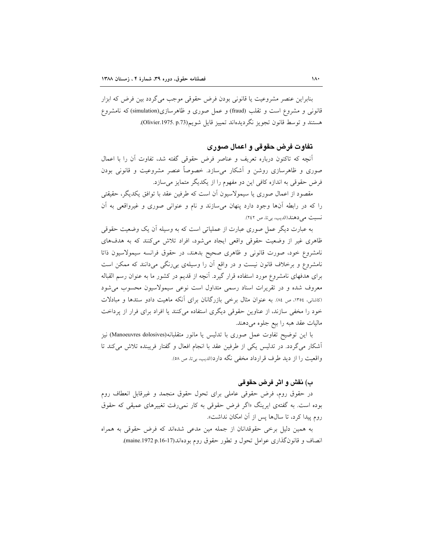بنابراين عنصر مشروعيت يا قانوني بودن فرض حقوقي موجب مي گردد بين فرض كه ابزار قانونی و مشروع است و تقلب (fraud) و عمل صوری و ظاهرسازی(simulation)که نامشروع هستند و توسط قانون تجويز نگرديدهاند تمييز قايل شويم(Olivier.1975. p.73).

### تفاوت فرض حقوقي و اعمال صوري

أنچه که تاکنون درباره تعریف و عناصر فرض حقوقی گفته شد، تفاوت آن را با اعمال صوری و ظاهرسازی روشن و آشکار میسازد. خصوصاً عنصر مشروعیت و قانونی بودن فرض حقوقی به اندازه کافی این دو مفهوم را از یکدیگر متمایز می سازد.

مقصود از اعمال صوری یا سیمولاسیون آن است که طرفین عقد با توافق یکدیگر، حقیقتی را که در رابطه آنها وجود دارد پنهان میسازند و نام و عنوانی صوری و غیرواقعی به آن نسبت می دهند (الدیب، بی تا، ص ٢٤٢).

به عبارت دیگر عمل صوری عبارت از عملیاتی است که به وسیله آن یک وضعیت حقوقی ظاهری غیر از وضعیت حقوقی واقعی ایجاد می شود، افراد تلاش میکنند که به هدفهای نامشروع خود، صورت قانونی و ظاهری صحیح بدهند، در حقوق فرانسه سیمولاسیون ذاتا نامشروع و برخلاف قانون نیست و در واقع اَن را وسیلهی بی رنگی میدانند که ممکن است برای هدفهای نامشروع مورد استفاده قرار گیرد. آنچه از قدیم در کشور ما به عنوان رسم القباله معروف شده و در تقریرات اسناد رسمی متداول است نوعی سیمولاسیون محسوب می شود (کاشانی، ۱۳۵٤، ص ۸٤). به عنوان مثال برخی بازرگانان برای آنکه ماهیت دادو ستدها و مبادلات خود را مخفی سازند، از عناوین حقوقی دیگری استفاده میکنند یا افراد برای فرار از پرداخت ماليات عقد هبه را بيع جلوه مي دهند.

با این توضیح تفاوت عمل صوری با تدلیس یا مانور متقلبانه(Manoeuvres dolosives) نیز أشكار مي گردد. در تدليس يكي از طرفين عقد با انجام افعال و گفتار فريبنده تلاش ميكند تا واقعیت را از دید طرف قرارداد مخفی نگه دارد(الدیب، برنا، ص ٥٨).

### ب) نقش و اثر فرض حقوقي

در حقوق روم، فرض حقوقی عاملی برای تحول حقوق منجمد و غیرقابل انعطاف روم بوده است. به گفتهی ایرینگ «اگر فرض حقوقی به کار نمی رفت تغییرهای عمیقی که حقوق روم پیدا کرد، تا سالها پس از آن امکان نداشت».

به همین دلیل برخی حقوقدانان از جمله مین مدعی شدهاند که فرض حقوقی به همراه انصاف و قانونگذاری عوامل تحول و تطور حقوق روم بودهاند(17-16.p.1972 p.16).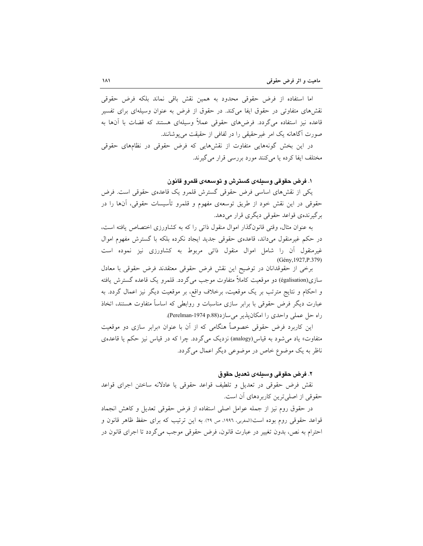اما استفاده از فرض حقوقی محدود به همین نقش باقی نماند بلکه فرض حقوقی نقشهای متفاوتی در حقوق ایفا میکند. در حقوق از فرض به عنوان وسیلهای برای تفسیر قاعده نیز استفاده می گردد. فرضهای حقوقی عملاً وسیلهای هستند که قضات با آنها به صورت آگاهانه یک امر غیرحقیقی را در لفافی از حقیقت می یوشانند.

در این بخش گونههایی متفاوت از نقشهایی که فرض حقوقی در نظامهای حقوقی مختلف ايفا كرده يا مي كنند مورد بررسي قرار مي گيرند.

### ۱. فرض حقوقی وسیلهی گسترش و توسعهی قلمرو قانون

یکی از نقشهای اساسی فرض حقوقی گسترش قلمرو یک قاعدهی حقوقی است. فرض حقوقی در این نقش خود از طریق توسعهی مفهوم و قلمرو تأسیسات حقوقی، أنها را در برگیرندهی قواعد حقوقی دیگری قرار میدهد.

به عنوان مثال، وقتی قانونگذار اموال منقول ذاتی را که به کشاورزی اختصاص یافته است، در حکم غیرمنقول میداند، قاعدهی حقوقی جدید ایجاد نکرده بلکه با گسترش مفهوم اموال غیرمنقول آن را شامل اموال منقول ذاتی مربوط به کشاورزی نیز نموده است (Gény, 1927, P.379)

برخی از حقوقدانان در توضیح این نقش فرض حقوقی معتقدند فرض حقوقی با معادل سازی(égalisation) دو موقعیت کاملاً متفاوت موجب میگردد. قلمرو یک قاعده گسترش یافته و احکام و نتایج مترتب بر یک موقعیت، برخلاف واقع، بر موقعیت دیگر نیز اعمال گردد. به عبارت دیگر فرض حقوقی با برابر سازی مناسبات و روابطی که اساساً متفاوت هستند، اتخاذ راه حل عملي واحدى را امكان پذير مي سازد(perelman-1974 p.88).

این کاربرد فرض حقوقی خصوصاً هنگامی که از آن با عنوان «برابر سازی دو موقعیت متفاوت» یاد می شود به قیاس(analogy) نزدیک می گردد. چرا که در قیاس نیز حکم یا قاعدهی ناظر به یک موضوع خاص در موضوعی دیگر اعمال میگردد.

#### ٢. فرض حقوقي وسيلهي تعديل حقوق

نقش فرض حقوقی در تعدیل و تلطیف قواعد حقوقی یا عادلانه ساختن اجرای قواعد حقوقی از اصلی ترین کاربردهای آن است.

در حقوق روم نیز از جمله عوامل اصلی استفاده از فرض حقوقی تعدیل و کاهش انجماد قواعد حقوقی روم بوده است(المغربی، ١٩٩٦، ص ٢٩). به این ترتیب که برای حفظ ظاهر قانون و احترام به نص، بدون تغییر در عبارت قانون، فرض حقوقی موجب میگردد تا اجرای قانون در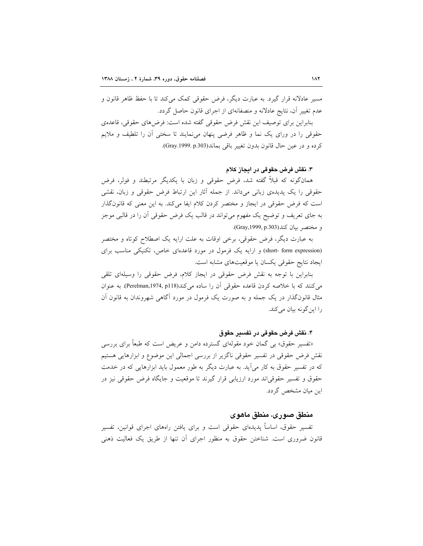مسیر عادلانه قرار گیرد. به عبارت دیگر، فرض حقوقی کمک می کند تا با حفظ ظاهر قانون و عدم تغییر آن، نتایج عادلانه و منصفانهای از اجرای قانون حاصل گردد.

بنابراين براي توصيف اين نقش فرض حقوقي گفته شده است: فرضهاي حقوقي، قاعدهي حقوقی را در ورای یک نما و ظاهر فرضی پنهان می نمایند تا سختی آن را تلطیف و ملایم كرده و در عين حال قانون بدون تغيير باقي بماند(Gray.1999.p.303).

۳. نقش فرض حقوقی در ایجاز کلام

همانگونه که قبلاً گفته شد، فرض حقوقی و زبان با یکدیگر مرتبطند و فولر، فرض حقوقی را یک پدیدهی زبانی میداند. از جمله آثار این ارتباط فرض حقوقی و زبان، نقشی است که فرض حقوقی در ایجاز و مختصر کردن کلام ایفا میکند. به این معنی که قانونگذار به جای تعریف و توضیح یک مفهوم میٍتواند در قالب یک فرض حقوقی اَن را در قالبی موجز و مختصر بيان كند(Gray,1999, p.303).

به عبارت دیگر، فرض حقوقی، برخی اوقات به علت ارایه یک اصطلاح کوتاه و مختصر (short- form expression) و ارایه یک فرمول در مورد قاعدهای خاص، تکنیکی مناسب برای ايجاد نتايج حقوقي يكسان يا موقعيتهاى مشابه است.

بنابراین با توجه به نقش فرض حقوقی در ایجاز کلام، فرض حقوقی را وسیلهای تلقی می کنند که با خلاصه کردن قاعده حقوقی آن را ساده می کند(Perelman,1974, p118). به عنوان مثال قانونگذار در یک جمله و به صورت یک فرمول در مورد آگاهی شهروندان به قانون آن را این گونه بیان می کند.

#### ۴. نقش فرض حقوقي در تفسير حقوق

«تفسیر حقوق» بی گمان خود مقولهای گسترده دامن و عریض است که طبعاً برای بررسی نقش فرض حقوقی در تفسیر حقوقی ناگزیر از بررسی اجمالی این موضوع و ابزارهایی هستیم که در تفسیر حقوق به کار میآید. به عبارت دیگر به طور معمول باید ابزارهایی که در خدمت حقوق و تفسیر حقوقیاند مورد ارزیابی قرار گیرند تا موقعیت و جایگاه فرض حقوقی نیز در این میان مشخص گردد.

### منطق صوری، منطق ماهوی

تفسیر حقوق، اساساً پدیدهای حقوقی است و برای یافتن راههای اجرای قوانین، تفسیر قانون ضروری است. شناختن حقوق به منظور اجرای اَن تنها از طریق یک فعالیت ذهنی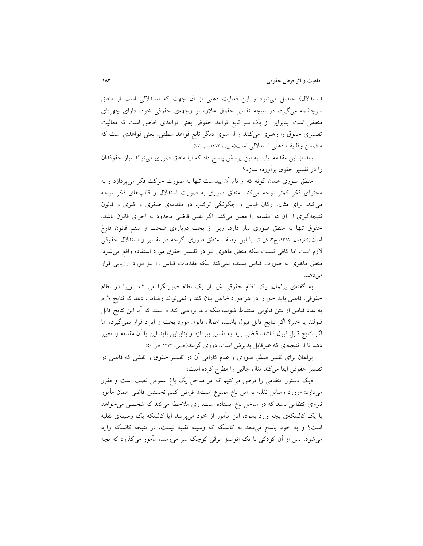(استدلال) حاصل می شود و این فعالیت ذهنی از آن جهت که استدلالی است از منطق سرچشمه می گیرد، در نتیجه تفسیر حقوق علاوه بر وجههی حقوقی خود، دارای چهرهای منطقی است. بنابراین از یک سو تابع قواعد حقوقی یعنی قواعدی خاص است که فعالیت تفسیری حقوق را رهبری میکنند و از سوی دیگر تابع قواعد منطقی، یعنی قواعدی است که متضمن وظايف ذهني استدلالي است(حبيبي، ١٣٧٣، ص ٢٧).

بعد از این مقدمه، باید به این پرسش پاسخ داد که آیا منطق صوری می تواند نیاز حقوقدان را در تفسیر حقوق برآورده سازد؟

منطق صوری همان گونه که از نام آن پیداست تنها به صورت حرکت فکر میپردازد و به محتوای فکر کمتر توجه میکند. منطق صوری به صورت استدلال و قالبهای فکر توجه می کند. برای مثال، ارکان قیاس و چگونگی ترکیب دو مقدمهی صغری و کبری و قانون نتیجهگیری از آن دو مقدمه را معین میکند. اگر نقش قاضی محدود به اجرای قانون باشد، حقوق تنها به منطق صوری نیاز دارد، زیرا از بحث دربارهی صحت و سقم قانون فارغ است(کاتوزیان، ۱۳۸۱، ج۳، ش ۲). با این وصف منطق صوری اگرچه در تفسیر و استدلال حقوقی لازم است اما كافي نيست بلكه منطق ماهوى نيز در تفسير حقوق مورد استفاده واقع مى شود. منطق ماهوی به صورت قیاس بسنده نمیکند بلکه مقدمات قیاس را نیز مورد ارزیابی قرار مي دهد.

به گفتهی پرلمان، یک نظام حقوقی غیر از یک نظام صورتگرا میباشد. زیرا در نظام حقوقی، قاضی باید حق را در هر مورد خاص بیان کند و نمیتواند رضایت دهد که نتایج لازم به مدد قیاس از متن قانونی استنباط شوند، بلکه باید بررسی کند و ببیند که آیا این نتایج قابل قبولند یا خیر؟ اگر نتایج قابل قبول باشند، اعمال قانون مورد بحث و ایراد قرار نمی گیرد، اما اگر نتایج قابل قبول نباشد، قاضی باید به تفسیر بپردازد و بنابراین باید این یا آن مقدمه را تغییر دهد تا از نتیجهای که غیرقابل پذیرش است، دوری گزیند(حبیبی، ۱۳۷۳، ص ۵۰).

پرلمان برای نقص منطق صوری و عدم کارایی اَن در تفسیر حقوق و نقشی که قاضی در تفسير حقوقي ايفا مي كند مثال جالبي را مطرح كرده است:

«یک دستور انتظامی را فرض میکنیم که در مدخل یک باغ عمومی نصب است و مقرر میدارد: «ورود وسایل نقلیه به این باغ ممنوع است». فرض کنیم نخستین قاضی همان مأمور نیروی انتظامی باشد که در مدخل باغ ایستاده است، وی ملاحظه میکند که شخصی می خواهد با یک کالسکهی بچه وارد بشود، این مأمور از خود میپرسد أیا کالسکه یک وسیلهی نقلیه است؟ و به خود پاسخ میدهد نه کالسکه که وسیله نقلیه نیست، در نتیجه کالسکه وارد میشود، پس از اَن کودکی با یک اتومبیل برقی کوچک سر میرسد، مأمور میگذارد که بچه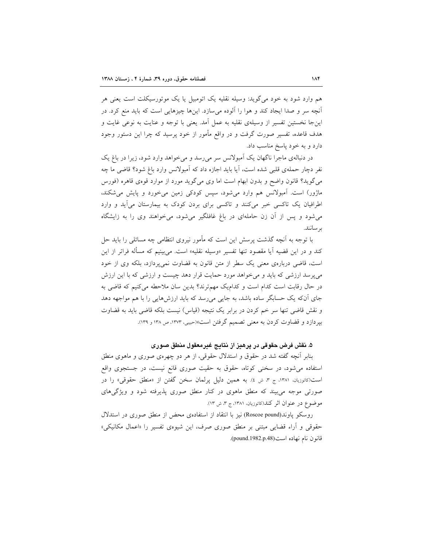هم وارد شود به خود می گوید: وسیله نقلیه یک اتومبیل یا یک موتورسیکلت است یعنی هر آنچه سر و صدا ایجاد کند و هوا را آلوده میسازد. اینها چیزهایی است که باید منع کرد. در اینجا نخستین تفسیر از وسیلهی نقلیه به عمل آمد. یعنی با توجه و عنایت به نوعی غایت و هدف قاعده، تفسیر صورت گرفت و در واقع مأمور از خود پرسید که چرا این دستور وجود دارد و به خود پاسخ مناسب داد.

در دنبالهی ماجرا ناگهان یک اَمبولانس سر می رسد و می خواهد وارد شود، زیرا در باغ یک نفر دچار حملهی قلبی شده است، آیا باید اجازه داد که آمبولانس وارد باغ شود؟ قاضی ما چه می گوید؟ قانون واضح و بدون ابهام است اما وی می گوید مورد از موارد قوهی قاهره (فورس ماژور) است. آمبولانس هم وارد میشود، سپس کودکی زمین میخورد و پایش میشکند، اطرافیان یک تاکسی خبر میکنند و تاکسی برای بردن کودک به بیمارستان میآید و وارد می شود و پس از آن زن حاملهای در باغ غافلگیر می شود، می خواهند وی را به زایشگاه بر سانند.

با توجه به آنچه گذشت پرسش این است که مأمور نیروی انتظامی چه مسائلی را باید حل کند و در این قضیه آیا مقصود تنها تفسیر «وسیله نقلیه» است. می بینیم که مسأله فراتر از این است، قاضی دربارهی معنی یک سطر از متن قانون به قضاوت نمیپردازد، بلکه وی از خود می پرسد ارزشی که باید و می خواهد مورد حمایت قرار دهد چیست و ارزشی که با این ارزش در حال رقابت است کدام است و کدام یک مهم ترند؟ بدین سان ملاحطه می کنیم که قاضی به جای آنکه یک حسابگر ساده باشد، به جایی میرسد که باید ارزشهایی را با هم مواجهه دهد و نقش قاضی تنها سر خم کردن در برابر یک نتیجه (قیاس) نیست بلکه قاضی باید به قضاوت بیر دازد و قضاوت کردن به معنی تصمیم گرفتن است»(حبیبی، ۱۳۷۳، ص ۱۳۸ و ۱۳۹).

۵. نقش فرض حقوقی در پرهیز از نتایج غیرمعقول منطق صوری

بنابر آنچه گفته شد در حقوق و استدلال حقوقی، از هر دو چهرهی صوری و ماهوی منطق استفاده می شود، در سخنی کوتاه، حقوق به حقیت صوری قانع نیست، در جستجوی واقع است(کاتوزیان، ۱۳۸۱، ج ۳، ش ٤). به همین دلیل پرلمان سخن گفتن از «منطق حقوقی» را در صورتی موجه میبیند که منطق ماهوی در کنار منطق صوری پذیرفته شود و ویژگیهای موضوع در عنوان اثر كند(كاتوزيان، ١٣٨١، ج ٣، ش ١٣).

روسکو یاوند(Roscoe pound) نیز با انتقاد از استفادهی محض از منطق صوری در استدلال حقوقی و اَراء قضایی مبتنی بر منطق صوری صرف، این شیوهی تفسیر را «اعمال مکانیکی» قانون نام نهاده است(pound.1982.p.48).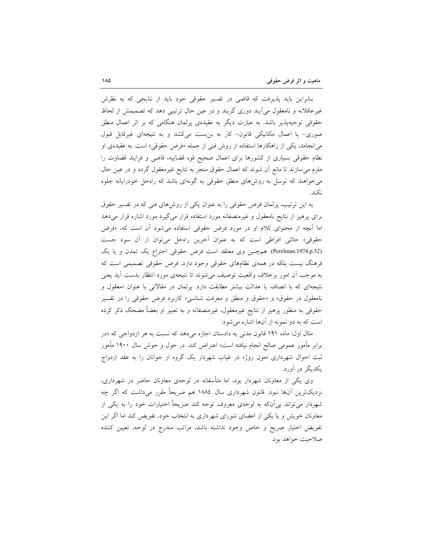بنابراین باید پذیرفت که قاضی در تفسیر حقوقی خود باید از نتایجی که به نظرش غیرعاقلانه و نامعقول می[یند دوری گزیند و در عین حال ترتیبی دهد که تصمیمش از لحاظ حقوقی توجیهپذیر باشد. به عبارت دیگر به عقیدهی پرلمان هنگامی که بر اثر اعمال منطق صوری- یا اعمال مکانیکی قانون- کار به بن بست میکشد و به نتیجهای غیرقابل قبول می|نجامد، یکی از راهکارها استفاده از روش فنی از جمله «فرض حقوقی» است. به عقیدهی او نظام حقوقی بسیاری از کشورها برای اعمال صحیح قوه قضاییه، قاضی و فرایند قضاوت را ملزم میٍسازند تا مانع اَن شوند که اعمال حقوق منجر به نتایج غیرمعقول گردد و در عین حال می خواهند که توسل به روشهای منطق حقوقی به گونهای باشد که راهحل خودرایانه جلوه نكند.

به این ترتیب، پرلمان فرض حقوقی را به عنوان یکی از روشهای فنی که در تفسیر حقوق برای پرهیز از نتایج نامعقول و غیرمنصفانه مورد استفاده قرار میگیرد مورد اشاره قرار میدهد اما أنچه از محتوای کلام او در مورد فرض حقوقی استفاده میشود أن است که، «فرض حقوقي» حالتي افراطي است كه به عنوان أخرين راه حل مي توان از أن سود جست (Perelman.1974.p.52). هم چنین وی معتقد است فرض حقوقی اختراع یک تمدن و یا یک فرهنگ نیست بلکه در همهی نظامهای حقوقی وجود دارد، فرض حقوقی تصمیمی است که به موجب أن امور برخلاف واقعيت توصيف مي شوند تا نتيجهي مورد انتظار بدست أيد يعني نتیجهای که با انصاف یا عدالت بیشتر مطابقت دارد. پرلمان در مقالاتی با عنوان «معقول و نامعقول در حقوق» و «حقوق و منطق و معرفت شناسی» کاربرد فرض حقوقی را در تفسیر حقوقی به منظور پرهیز از نتایج غیرمعقول، غیرمنصفانه و به تعبیر او بعضاً مضحک ذکر کرده است که به دو نمونه از آنها اشاره میشود:

مثال اول: ماده ۱۹۱ قانون مدنی به دادستان اجازه می دهد که نسبت به هر ازدواجی که «در برابر مأمور عمومی صالح انجام نیافته است» اعتراض کند. در حول و حوش سال ۱۹۰۰ مأمور ثبت احوال شهرداری «مون روژ» در غیاب شهردار یک گروه از جوانان را به عقد ازدواج یکدیگر در آورد.

وی یکی از معاونان شهردار بود، اما متأسفانه در لوحهی معاونان حاضر در شهرداری، نزدیکترین اّنها نبود. قانون شهرداری سال ۱۸۸٤ هم صریحاً مقرر میداشت که اگر چه شهردار میتواند بی[ن۵ به لوحهی معروف توجه کند صریحاً اختیارات خود را به یکی از معاونان خویش و یا یکی از اعضای شورای شهرداری به انتخاب خود، تفویض کند اما اگر این تفويض اختيار صريح و خاص وجود نداشته باشد، مراتب مندرج در لوحه، تعيين كننده صلاحيت خواهد بود.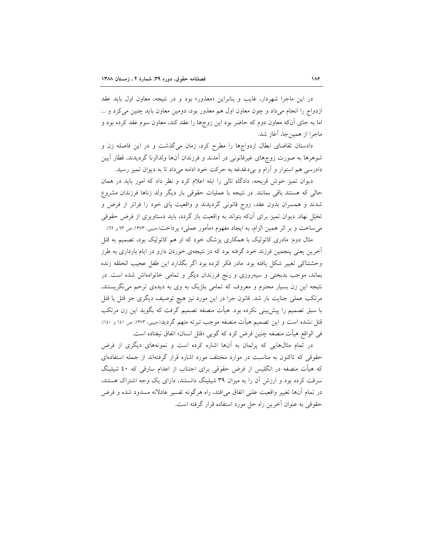در این ماجرا شهردار، غایب و بنابراین «معذور» بود و در نتیجه، معاون اول باید عقد ازدواج را انجام میداد و چون معاون اول هم معذور بود، دومین معاون باید چنین می کرد و … اما به جای آنکه معاون دوم که حاضر بود این زوجها را عقد کند، معاون سوم عقد کرده بود و ماجرا از همین جا، آغاز شد.

دادستان تقاضای ابطال ازدواجها را مطرح کرد، زمان میگذشت و در این فاصله زن و شوهرها به صورت زوجهای غیرقانونی در آمدند و فرزندان آنها ولدالزنا گردیدند، قطار آیین دادرسی هم استوار و آرام و بی دغدغه به حرکت خود ادامه میداد تا به دیوان تمیز رسید.

دیوان تمیز خوش قریحه، دادگاه تالی را ابله اعلام کرد و نظر داد که امور باید در همان حالی که هستند باقی بمانند. در نتیجه با عملیات حقوقی بار دیگر ولد زناها فرزندان مشروع شدند و همسران بدون عقد، زوج قانونی گردیدند و واقعیت پای خود را فراتر از فرض و تخیّل نهاد. دیوان تمیز برای آنکه بتواند به واقعیت باز گردد، باید دستاویزی از فرض حقوقی میساخت و بر اثر همین الزام، به ایجاد مفهوم «مأمور عملی» پرداخت(حبیبی، ۱۳۷۳، ص ٦۳ و ٦۲).

مثال دوم: مادری کاتولیک با همکاری پزشک خود که او هم کاتولیک بود، تصمیم به قتل اَخرین یعنی پنجمین فرزند خود گرفته بود که در نتیجهی خوردن دارو در ایام بارداری به طرز وحشتناكي تغيير شكل يافته بود. مادر فكر كرده بود اگر بگذارد اين طفل عجيب الخلقه زنده بماند، موجب بدبختی و سیهروزی و رنج فرزندان دیگر و تمامی خانوادهاش شده است. در نتیجه این زن بسیار محترم و معروف که تمامی بلژیک به وی به دیدهی ترحم می نگریستند، مرتکب عملی جنایت بار شد. قانون جزا در این مورد نیز هیچ توصیف دیگری جز قتل یا قتل با سبق تصمیم را پیشبینی نکرده بود. هیأت منصفه تصمیم گرفت که بگوید این زن مرتکب قتل نشده است و این تصمیم هیأت منصفه موجب تبرئه متهم گردید(حبیبی، ۱۳۷۳، ص ۱٤۱ و ۱٤۰). في الواقع هيأت منصفه چنين فرض كرد كه گويي «قتل انسان» اتفاق نيفتاده است.

در تمام مثالهایی که پرلمان به آنها اشاره کرده است و نمونههای دیگری از فرض حقوقی که تاکنون به مناسبت در موارد مختلف مورد اشاره قرار گرفتهاند از جمله استفادهای که هیأت منصفه در انگلیس از فرض حقوقی برای اجتناب از اعدام سارقی که ٤٠ شیلینگ سرقت کرده بود و ارزش آن را به میزان ۳۹ شیلینگ دانستند، دارای یک وجه اشتراک هستند، در تمام آنها تغییر واقعیت علنی اتفاق می|فتد، راه هرگونه تفسیر عادلانه مسدود شده و فرض حقوقی به عنوان آخرین راه حل مورد استفاده قرار گرفته است.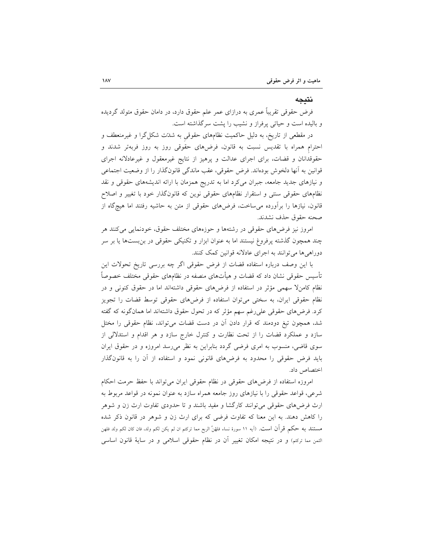#### نتىحە

فرض حقوقی تقریباً عمری به درازای عمر علم حقوق دارد، در دامان حقوق متولد گردیده و بالیده است و حیاتی پرفراز و نشیب را پشت سرگذاشته است.

در مقطعی از تاریخ، به دلیل حاکمیت نظامهای حقوقی به شدتت شکل گرا و غیرمنعطف و احترام همراه با تقدیس نسبت به قانون، فرضهای حقوقی روز به روز فربهتر شدند و حقوقدانان و قضات، برای اجرای عدالت و پرهیز از نتایج غیرمعقول و غیرعادلانه اجرای قوانین به آنها دلخوش بودهاند. فرض حقوقی، عقب ماندگی قانونگذار را از وضعیت اجتماعی و نیازهای جدید جامعه، جبران میکرد اما به تدریج همزمان با ارائه اندیشههای حقوقی و نقد نظامهای حقوقی سنتی و استقرار نظامهای حقوقی نوین که قانونگذار خود با تغییر و اصلاح قانون، نیازها را برآورده می ساخت، فرضهای حقوقی از متن به حاشیه رفتند اما هیچگاه از صحنه حقوق حذف نشدند.

امروز نیز فرضهای حقوقی در رشتهها و حوزههای مختلف حقوق، خودنمایی می کنند هر چند همچون گذشته پرفروغ نیستند اما به عنوان ابزار و تکنیکی حقوقی در بن بستها یا بر سر دوراهی ها می توانند به اجرای عادلانه قوانین کمک کنند.

با این وصف درباره استفاده قضات از فرض حقوقی اگر چه بررسی تاریخ تحولات این تأسیس حقوقی نشان داد که قضات و هیأتهای منصفه در نظامهای حقوقی مختلف خصوصاً نظام کامنلا سهمی مؤثر در استفاده از فرضهای حقوقی داشتهاند اما در حقوق کنونی و در نظام حقوقی ایران، به سختی می توان استفاده از فرضهای حقوقی توسط قضات را تجویز کرد. فرض۵ای حقوقی علیرغم سهم مؤثر که در تحول حقوق داشتهاند اما همانگونه که گفته شد، همچون تیغ دودمند که قرار دادن آن در دست قضات می تواند، نظام حقوقی را مختل سازد و عملکرد قضات را از تحت نظارت و کنترل خارج سازد و هر اقدام و استدلالی از سوی قاضی، منسوب به امری فرضی گردد بنابراین به نظر میرسد امروزه و در حقوق ایران باید فرض حقوقی را محدود به فرضهای قانونی نمود و استفاده از آن را به قانونگذار اختصاص داد.

امروزه استفاده از فرضهای حقوقی در نظام حقوقی ایران میتواند با حفظ حرمت احکام شرعی، قواعد حقوقی را با نیازهای روز جامعه همراه سازد به عنوان نمونه در قواعد مربوط به ارث فرضهای حقوقی می توانند کارگشا و مفید باشند و تا حدودی تفاوت ارث زن و شوهر را کاهش دهند. به این معنا که تفاوت فرضی که برای ارث زن و شوهر در قانون ذکر شده مستتند به حکم قرأن است. (آيه ١١ سورهٔ نساء فلهُنَّ الربع مما ترکتم ان لم يکن لکم ولد، فان کان لکم ولد فلهن الثمن مما ترکتم) و در نتیجه امکان تغییر آن در نظام حقوقی اسلامی و در سایهٔ قانون اساسی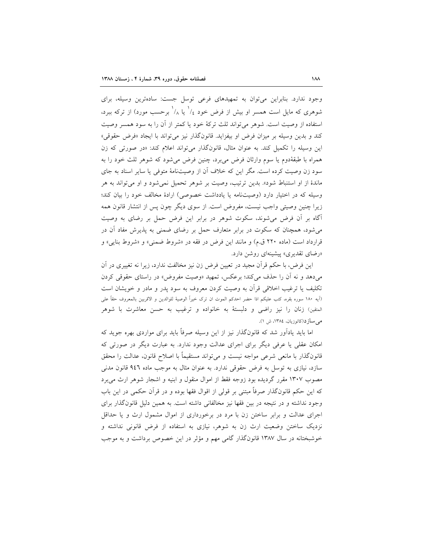وجود ندارد. بنابراین می توان به تمهیدهای فرعی توسل جست: سادهترین وسیله، برای شوهری که مایل است همسر او بیش از فرض خود ۱٫ یا ۱٫ برحسب مورد) از ترکه ببرد. استفاده از وصيت است. شوهر مي تواند ثلث تركهٔ خود يا كمتر از آن را به سود همسر وصيت کند و بدین وسیله بر میزان فرض او بیفزاید. قانونگذار نیز میتواند با ایجاد «فرض حقوقی» این وسیله را تکمیل کند. به عنوان مثال، قانونگذار می تواند اعلام کند: «در صورتی که زن همراه با طبقهٔدوم یا سوم وارثان فرض می برد، چنین فرض می شود که شوهر ثلث خود را به سود زن وصیت کرده است. مگر این که خلاف آن از وصیتنامهٔ متوفی یا سایر اسناد به جای ماندهٔ از او استنباط شود». بدین ترتیب، وصیت بر شوهر تحمیل نمی شود و او می تواند به هر وسیله که در اختیار دارد (وصیتنامه یا یادداشت خصوصی) ارادهٔ مخالف خود را بیان کند؛ زیرا چنین وصیتی واجب نیست، مفروض است. از سوی دیگر چون پس از انتشار قانون همه أگاه بر أن فرض میشوند، سکوت شوهر در برابر این فرض حمل بر رضای به وصیت می شود، همچنان که سکوت در برابر متعارف حمل بر رضای ضمنی به پذیرش مفاد آن در قرارداد است (ماده ۲۲۰ ق.م) و مانند این فرض در فقه در «شروط ضمنی» و «شروط بنایی» و «رضای تقدیری» پیشینهای روشن دارد.

این فرض، با حکم قرآن مجید در تعیین فرض زن نیز مخالفت ندارد، زیرا نه تغییری در آن می دهد و نه اَن را حذف می کند؛ برعکس، تمهید «وصیت مفروض» در راستای حقوقی کردن تکلیف یا ترغیب اخلاقی قرأن به وصیت کردن معروف به سود یدر و مادر و خویشان است (اَيه ١٨٠ سوره بقره، كتب عليكم اذا حضر احدكم الموت ان ترك خيراً الوصيهٔ للوالدين و الاقربين بالمعروف حقاً على المتقين) زنان را نيز راضي و دلبستهٔ به خانواده و ترغيب به حسن معاشرت با شوهر می سازد(کاتوزیان، ۱۳۸٤، ش ۱).

اما باید یادآور شد که قانونگذار نیز از این وسیله صرفاً باید برای مواردی بهره جوید که امکان عقلی یا عرفی دیگر برای اجرای عدالت وجود ندارد. به عبارت دیگر در صورتی که قانونگذار با مانعی شرعی مواجه نیست و میتواند مستقیماً با اصلاح قانون، عدالت را محقق سازد، نیازی به توسل به فرض حقوقی ندارد. به عنوان مثال به موجب ماده ۹٤٦ قانون مدنی مصوب ۱۳۰۷ مقرر گردیده بود زوجه فقط از اموال منقول و ابنیه و اشجار شوهر ارث میبرد که این حکم قانونگذار صرفاً مبتنی بر قولی از اقوال فقها بوده و در قرآن حکمی در این باب وجود نداشته و در نتیجه در بین فقها نیز مخالفانی داشته است. به همین دلیل قانونگذار برای اجرای عدالت و برابر ساختن زن با مرد در برخورداری از اموال مشمول ارث و یا حداقل نزدیک ساختن وضعیت ارث زن به شوهر، نیازی به استفاده از فرض قانونی نداشته و خوشبختانه در سال ۱۳۸۷ قانونگذار گامی مهم و مؤثر در این خصوص برداشت و به موجب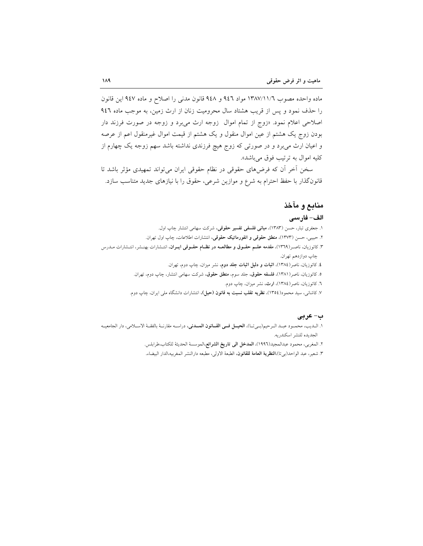ماده واحده مصوب ١٣٨٧/١١/٦ مواد ٩٤٦ و ٩٤٨ قانون مدنى را اصلاح و ماده ٩٤٧ اين قانون را حذف نمود و پس از قریب هشتاد سال محرومیت زنان از ارث زمین، به موجب ماده ۹٤٦ اصلاحی اعلام نمود. «زوج از تمام اموال زوجه ارث میبرد و زوجه در صورت فرزند دار بودن زوج یک هشتم از عین اموال منقول و یک هشتم از قیمت اموال غیرمنقول اعم از عرصه و اعیان ارث میبرد و در صورتی که زوج هیچ فرزندی نداشته باشد سهم زوجه یک چهارم از کليه اموال به ترتيب فوق مي باشد».

سخن أخر أن كه فرضهاى حقوقى در نظام حقوقى ايران مىتواند تمهيدى مؤثر باشد تا قانونگذار با حفظ احترام به شرع و موازین شرعی، حقوق را با نیازهای جدید متناسب سازد.

## منابع و مآخذ

#### الف– فارسى

۱. جعفری تبار، حسن (۱۳۸۳)، م**بانی فلسفی تفسیر حقوقی**، شرکت سهامی انتشار چاپ اول.

۲. حبیبی، حسن (۱۳۷۳)، منطق حقوقی و انفورماتیک حقوقی، انتشارات اطلاعات، چاپ اول تهران.

- ۳. کاتوزیان، ناصـر(۱۳٦۹)، مقدمه علــم حقــوق و مطالعــه در نظــام حقــوقي ايــران، انتــشارات بهنــشر، انتــشارات مــدرس چاپ دوازدهم تهران.
	- £. کاتوزیان، ناصر(١٣٨٤)، <mark>اثبات و دلیل اثبات جلد دوم</mark>، نشر میزان، چاپ دوم، تهران.
	- ٥. كاتوزيان، ناصر(١٣٨١)، فلسفه حقوق، جلد سوم، منطق حقوق، شركت سهامي انتشار، چاپ دوم، تهران.
		- ٦. کاتوزیان، ناصر(١٣٨٤)، ارث، نشر میزان، چاپ دوم.
	- ۷. کاشان<sub>ی</sub>، سید محمود(١٣٥٤)، **نظریه تقلب نسبت به قانون (حیل)**، انتشارات دانشگاه مل<sub>ی</sub> ایران، چاپ دوم.

#### ت-عربي

- ١. البديب، محمبود عبيد البرحيم(بييت)، الجيل في القبانون المسدني، دراسيه مقارنية بالفقية الاسبلامي، دار الجامعييه الجديده للنشر اسكندريه.
	- ٢. المغربي، محمود عبدالمجيد(١٩٩٦)، **المدخل الى تاريخ الشرائع**،الموسسة الحديثة للكتاب،طرابلس.
	- ٣. شعير، عبد الواحد(بيتا)،**النظرية العامة للقانون**، الطبعة الاول<sub>ى</sub>، مطبعه دارالنشر المغربيه،الدار البيضاء.